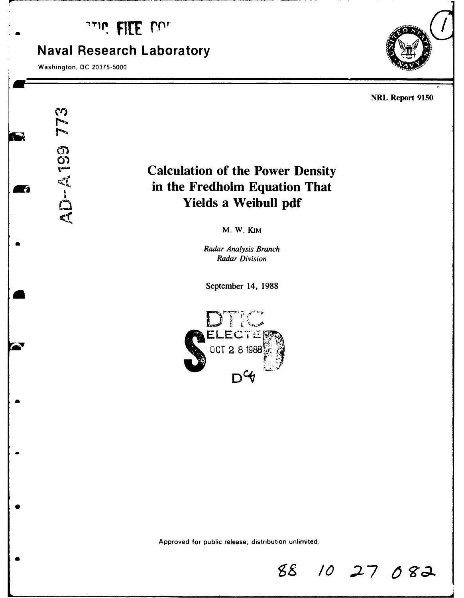## **LILE UUL**

### **Naval Research Laboratory**

Washington, **DC 20375-5000**

773

**a**



#### NRL Report **9150**

# **Calculation of the Power Density Archives Calculation of the Power Density<br>
<b>Archives Calculation of the Power Density**<br>
in the Fredholm Equation That<br>
Yields a Weibull pdf **Yields a Weibull pdf**

M. W. KIM

**<sup>a</sup>***Radar Analysis Branch Radar Division*

September 14, **1988**



Approved for public release; distribution unlimited.

 $88$  **10 27 082**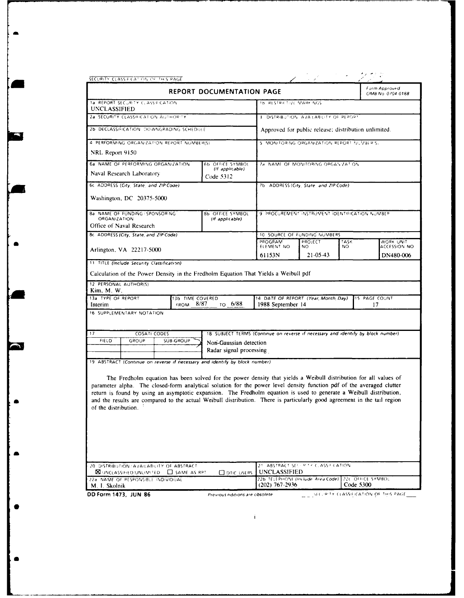| SECURITY CLASSIFICATION OF THIS PAGE                                                                                                                                                                                                                                                                                                                                                                                                                                                                                 |                                                                                   |                                                                         |                                                 |                    |                                    |
|----------------------------------------------------------------------------------------------------------------------------------------------------------------------------------------------------------------------------------------------------------------------------------------------------------------------------------------------------------------------------------------------------------------------------------------------------------------------------------------------------------------------|-----------------------------------------------------------------------------------|-------------------------------------------------------------------------|-------------------------------------------------|--------------------|------------------------------------|
|                                                                                                                                                                                                                                                                                                                                                                                                                                                                                                                      | <b>REPORT DOCUMENTATION PAGE</b>                                                  |                                                                         |                                                 |                    | Form Approved<br>OMB No. 0704 0188 |
| 1a. REPORT SECURITY CLASSIFICATION<br>UNCLASSIFIED                                                                                                                                                                                                                                                                                                                                                                                                                                                                   |                                                                                   | <b>16 RESTRICTIVE MARKINGS</b>                                          |                                                 |                    |                                    |
| 2a SECURITY CLASSIFICATION AUTHORITY                                                                                                                                                                                                                                                                                                                                                                                                                                                                                 |                                                                                   | 3 DISTRIBUTION AVAILABILITY OF REPORT                                   |                                                 |                    |                                    |
| 2b DECLASSIFICATION DOWNGRADING SCHEDULE                                                                                                                                                                                                                                                                                                                                                                                                                                                                             |                                                                                   | Approved for public release; distribution unlimited.                    |                                                 |                    |                                    |
| 4 PERFORMING ORGANIZATION REPORT NUMBER(S)                                                                                                                                                                                                                                                                                                                                                                                                                                                                           |                                                                                   | 5. MONITORING ORGANIZATION REPORT NUMBER'S;                             |                                                 |                    |                                    |
| NRL Report 9150                                                                                                                                                                                                                                                                                                                                                                                                                                                                                                      |                                                                                   |                                                                         |                                                 |                    |                                    |
| 6a NAME OF PERFORMING ORGANIZATION                                                                                                                                                                                                                                                                                                                                                                                                                                                                                   | 6b OFFICE SYMBOL<br>(If applicable)                                               |                                                                         | 7a. NAME OF MONITORING ORGANIZATION             |                    |                                    |
| Naval Research Laboratory                                                                                                                                                                                                                                                                                                                                                                                                                                                                                            | Code 5312                                                                         |                                                                         |                                                 |                    |                                    |
| 6c. ADDRESS (City, State, and ZIP Code)                                                                                                                                                                                                                                                                                                                                                                                                                                                                              |                                                                                   |                                                                         | 7b ADDRESS (City, State, and ZIP Code)          |                    |                                    |
| Washington, DC 20375-5000                                                                                                                                                                                                                                                                                                                                                                                                                                                                                            |                                                                                   |                                                                         |                                                 |                    |                                    |
| <b>8a NAME OF FUNDING / SPONSORING</b>                                                                                                                                                                                                                                                                                                                                                                                                                                                                               | 8b OFFICE SYMBOL                                                                  |                                                                         | 9. PROCUREMENT INSTRUMENT IDENTIFICATION NUMBER |                    |                                    |
| <b>ORGANIZATION</b><br>Office of Naval Research                                                                                                                                                                                                                                                                                                                                                                                                                                                                      | (If applicable)                                                                   |                                                                         |                                                 |                    |                                    |
| 8c. ADDRESS (City, State, and ZIP Code)                                                                                                                                                                                                                                                                                                                                                                                                                                                                              |                                                                                   | 10 SOURCE OF FUNDING NUMBERS                                            |                                                 |                    |                                    |
|                                                                                                                                                                                                                                                                                                                                                                                                                                                                                                                      |                                                                                   | PROGRAM<br>ELEMENT NO                                                   | PROJECT<br>NO                                   | <b>TASK</b><br>NO. | WORK UNIT<br>ACCESSION NO          |
| Arlington, VA 22217-5000                                                                                                                                                                                                                                                                                                                                                                                                                                                                                             |                                                                                   | 61153N                                                                  | 21-05-43                                        |                    | DN480-006                          |
| 11 TITLE (Include Security Classification)                                                                                                                                                                                                                                                                                                                                                                                                                                                                           |                                                                                   |                                                                         |                                                 |                    |                                    |
| Calculation of the Power Density in the Fredholm Equation That Yields a Weibull pdf                                                                                                                                                                                                                                                                                                                                                                                                                                  |                                                                                   |                                                                         |                                                 |                    |                                    |
| 12 PERSONAL AUTHOR(S)<br>Kim, M. W.                                                                                                                                                                                                                                                                                                                                                                                                                                                                                  |                                                                                   |                                                                         |                                                 |                    |                                    |
| 13a TYPE OF REPORT<br>13b TIME COVERED<br><b>FROM</b><br>Interim                                                                                                                                                                                                                                                                                                                                                                                                                                                     | то 6/88<br>8/87                                                                   | 14 DATE OF REPORT (Year, Month, Day)<br>1988 September 14               |                                                 |                    | 15 PAGE COUNT<br>17                |
| 16 SUPPLEMENTARY NOTATION                                                                                                                                                                                                                                                                                                                                                                                                                                                                                            |                                                                                   |                                                                         |                                                 |                    |                                    |
| 17<br>COSATI CODES                                                                                                                                                                                                                                                                                                                                                                                                                                                                                                   | 18 SUBJECT TERMS (Continue on reverse if necessary and identify by block number). |                                                                         |                                                 |                    |                                    |
| FIELD<br>GROUP<br><b>SUB-GROUP</b>                                                                                                                                                                                                                                                                                                                                                                                                                                                                                   | Non-Gaussian detection                                                            |                                                                         |                                                 |                    |                                    |
|                                                                                                                                                                                                                                                                                                                                                                                                                                                                                                                      | Radar signal processing                                                           |                                                                         |                                                 |                    |                                    |
| 19 ABSTRACT (Continue on reverse if necessary and identify by block number)                                                                                                                                                                                                                                                                                                                                                                                                                                          |                                                                                   |                                                                         |                                                 |                    |                                    |
| The Fredholm equation has been solved for the power density that yields a Weibull distribution for all values of<br>parameter alpha. The closed-form analytical solution for the power level density function pdf of the averaged clutter<br>return is found by using an asymptotic expansion. The Fredholm equation is used to generate a Weibull distribution,<br>and the results are compared to the actual Weibull distribution. There is particularly good agreement in the tail region<br>of the distribution. |                                                                                   |                                                                         |                                                 |                    |                                    |
|                                                                                                                                                                                                                                                                                                                                                                                                                                                                                                                      |                                                                                   |                                                                         |                                                 |                    |                                    |
| 20. DISTRIBUTION / AVAILABILITY OF ABSTRACT<br><b>X UNCLASSIFIED/UNLIMITED CO</b> SAME AS RPT                                                                                                                                                                                                                                                                                                                                                                                                                        | <b>ODTIC USERS</b>                                                                | 21. ABSTRACT SECHRITY CLASS-FICATION<br><b>UNCLASSIFIED</b>             |                                                 |                    |                                    |
| 22a NAME OF RESPONSIBLE INDIVIDUAL<br>M. I. Skolnik                                                                                                                                                                                                                                                                                                                                                                                                                                                                  |                                                                                   | 22b TELEPHONE (Include Area Code) 22c OFFICE SYMBOL<br>$(202)$ 767-2936 |                                                 |                    | Code 5300                          |

 $\label{eq:2.1} \hat{\mathbf{H}}_{\text{eff}} = \hat{\mathbf{H}}_{\text{eff}} + \hat{\mathbf{H}}_{\text{eff}} + \hat{\mathbf{H}}_{\text{eff}}$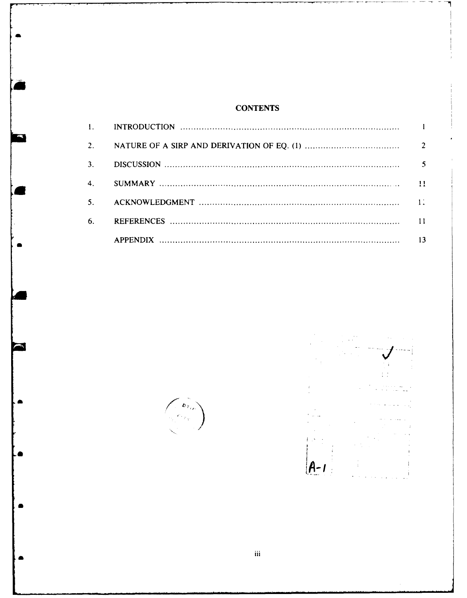#### **CONTENTS**

| 3.             |               |
|----------------|---------------|
| 4.             | $\mathbf{11}$ |
| 5 <sub>1</sub> |               |
| 6.             |               |
|                | 13            |



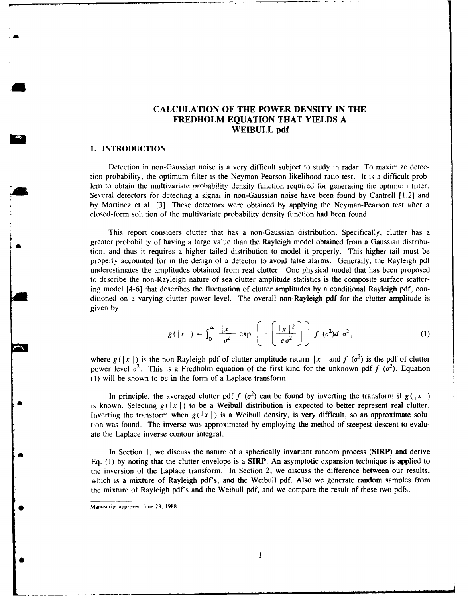#### **CALCULATION OF THE POWER DENSITY IN THE FREDHOLM EQUATION THAT YIELDS A WEIBULL pdf**

#### **1. INTRODUCTION**

Detection in non-Gaussian noise is a very difficult subject to study in radar. To maximize detection probability, the optimum filter is the Neyman-Pearson likelihood ratio test. It is a difficult problem to obtain the multivariate probability density function required for generating the optimum tilter. Several detectors for detecting a signal in non-Gaussian noise have been found by Cantrell [1,2] and by Martinez et al. [3]. These detectors were obtained by applying the Neyman-Pearson test after a closed-form solution of the multivariate probability density function had been found.

This report considers clutter that has a non-Gaussian distribution. Specifical'y, clutter has a greater probability of having a large value than the Rayleigh model obtained from a Gaussian distribution, and thus it requires a higher tailed distribution to model it properly. This higher tail must be properly accounted for in the design of a detector to avoid false alarms. Generally, the Rayleigh pdf underestimates the amplitudes obtained from real clutter. One physical model that has been proposed to describe the non-Rayleigh nature of sea clutter amplitude statistics is the composite surface scattering model [4-6] that describes the fluctuation of clutter amplitudes by a conditional Rayleigh pdf, conditioned on a varying clutter power level. The overall non-Rayleigh pdf for the clutter amplitude is given by

$$
g(|x|) = \int_0^\infty \frac{|x|}{\sigma^2} \exp\left(-\left(\frac{|x|^2}{e\sigma^2}\right)\right) f(\sigma^2) d\sigma^2,
$$
 (1)

where  $g(|x|)$  is the non-Rayleigh pdf of clutter amplitude return  $|x|$  and  $f(\sigma^2)$  is the pdf of clutter power level  $\sigma^2$ . This is a Fredholm equation of the first kind for the unknown pdf  $f(\sigma^2)$ . Equation (1) will be shown to be in the form of a Laplace transform.

In principle, the averaged clutter pdf  $f(\sigma^2)$  can be found by inverting the transform if  $g(|x|)$ is known. Selecting  $g(|x|)$  to be a Weibull distribution is expected to better represent real clutter. Inverting the transform when  $g(|x|)$  is a Weibull density, is very difficult, so an approximate solution was found. The inverse was approximated by employing the method of steepest descent to evaluate the Laplace inverse contour integral.

In Section 1, we discuss the nature of a spherically invariant random process (SIRP) and derive Eq. **(1)** by noting that the clutter envelope is a **SIRP.** An asymptotic expansion technique is applied to the inversion of the Laplace transform. In Section 2, we discuss the difference between our results, which is a mixture of Rayleigh pdf's, and the Weibull pdf. Also we generate random samples from the mixture of Rayleigh pdf's and the Weibull pdf, and we compare the result of these two pdfs.

Manuscript approved June 23, 1988.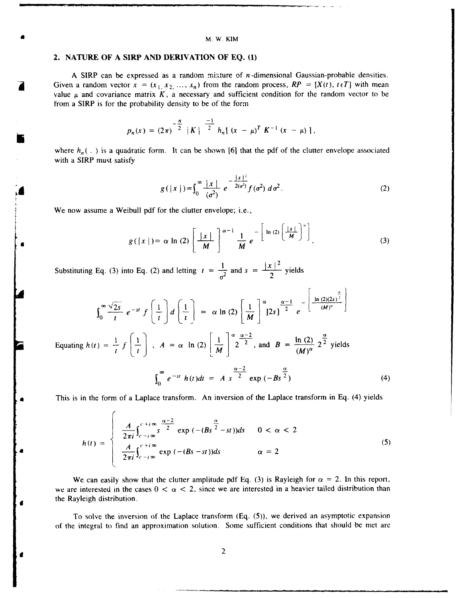#### M. W. KIM

#### **2. NATURE OF A SIRP AND DERIVATION OF EQ. (1)**

**A SIRP** can be expressed as a random mixture of n-dimensional Gaussian-probable densities. Given a random vector  $x = (x_1, x_2, ..., x_n)$  from the random process,  $RP = [X(t), t \in T]$  with mean value  $\mu$  and covariance matrix  $K$ , a necessary and sufficient condition for the random vector to be from a SIRP is for the probability density to be of the form

$$
p_n(x) = (2\pi)^{-\frac{n}{2}} |K|^{-\frac{-1}{2}} h_n[(x - \mu)^T K^{-1} (x - \mu)],
$$

where  $h_n(\cdot)$  is a quadratic form. It can be shown [6] that the pdf of the clutter envelope associated with a SIRP must satisfy

$$
g(|x|) = \int_0^\infty \frac{|x|}{(\sigma^2)} e^{-\frac{|x|^2}{2(\sigma^2)}} f(\sigma^2) d\sigma^2.
$$
 (2)

We now assume a Weibull pdf for the clutter envelope; i.e.,

$$
g(|x|) = \alpha \ln(2) \left[ \frac{|x|}{M} \right]^{\alpha-1} \frac{1}{M} e^{-\left[ \ln(2) \left( \frac{|x|}{M} \right)^{\alpha} \right]}.
$$
 (3)

Substituting Eq. (3) into Eq. (2) and letting  $t = \frac{1}{\sigma^2}$  and  $s = \frac{|x|^2}{2}$  yields

$$
\int_0^\infty \frac{\sqrt{2s}}{t} e^{-st} f\left(\frac{1}{t}\right) d\left(\frac{1}{t}\right) = \alpha \ln(2) \left[\frac{1}{M}\right]^\alpha \left[2s\right]^{-\frac{\alpha-1}{2}} e^{-\left[\frac{\ln(2)(2s)^{\frac{\alpha}{2}}}{(M)^\alpha}\right]}
$$
  
Equating  $h(t) = \frac{1}{t} f\left(\frac{1}{t}\right)$ ,  $A = \alpha \ln(2) \left[\frac{1}{M}\right]^\alpha 2^{\frac{\alpha-2}{2}}$ , and  $B = \frac{\ln(2)}{(M)^\alpha} 2^{\frac{\alpha}{2}}$  yields  

$$
\int_0^\infty e^{-st} h(t) dt = A s^{\frac{\alpha-2}{2}} \exp(-Bs^{\frac{\alpha}{2}})
$$
 (4)

This is in the form of a Laplace transform. An inversion of the Laplace transform in Eq. (4) yields

$$
h(t) = \begin{cases} \frac{A}{2\pi i} \int_{c-i\infty}^{c+i\infty} s^{\frac{\alpha-2}{2}} \exp(-(Bs^{-\frac{\alpha}{2}}-st))ds & 0 < \alpha < 2\\ \frac{A}{2\pi i} \int_{c-i\infty}^{c+i\infty} \exp(-(Bs-st))ds & \alpha = 2 \end{cases}
$$
(5)

We can easily show that the clutter amplitude pdf Eq. (3) is Rayleigh for  $\alpha = 2$ . In this report, we are interested in the cases  $0 < \alpha < 2$ , since we are interested in a heavier tailed distribution than the Rayleigh distribution.

To solve the inversion of the Laplace transform (Eq. (5)), we derived an asymptotic expansion of the integral to find an approximation solution. Some sufficient conditions that should be met are

2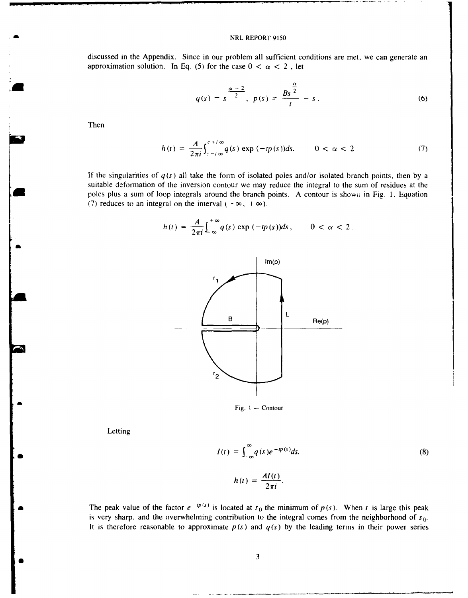#### NRL REPORT 9150

discussed in the Appendix. Since in our problem all sufficient conditions are met, we can generate an approximation solution. In Eq. (5) for the case  $0 < \alpha < 2$ , let

$$
q(s) = s^{\frac{\alpha-2}{2}}, \ p(s) = \frac{Bs^{\frac{\alpha}{2}}}{t} - s \,.
$$
 (6)

Then

$$
h(t) = \frac{A}{2\pi i} \int_{c-i\infty}^{c+i\infty} q(s) \exp(-tp(s))ds. \qquad 0 < \alpha < 2 \tag{7}
$$

If the singularities of  $q(s)$  all take the form of isolated poles and/or isolated branch points, then by a suitable deformation of the inversion contour we may reduce the integral to the sum of residues at the poles plus a sum of loop integrals around the branch points. A contour is shown in Fig. 1. Equation (7) reduces to an integral on the interval  $(-\infty, +\infty)$ .

$$
h(t) = \frac{A}{2\pi i} \int_{-\infty}^{+\infty} q(s) \exp(-tp(s)) ds, \qquad 0 < \alpha < 2.
$$





*B3*

$$
I(t) = \int_{-\infty}^{\infty} q(s)e^{-tp(s)}ds.
$$
\n
$$
h(t) = \frac{AI(t)}{2\pi i}.
$$
\n(8)

The peak value of the factor  $e^{-tp(s)}$  is located at  $s_0$  the minimum of  $p(s)$ . When t is large this peak is very sharp, and the overwhelming contribution to the integral comes from the neighborhood of  $s_0$ . It is therefore reasonable to approximate  $p(s)$  and  $q(s)$  by the leading terms in their power series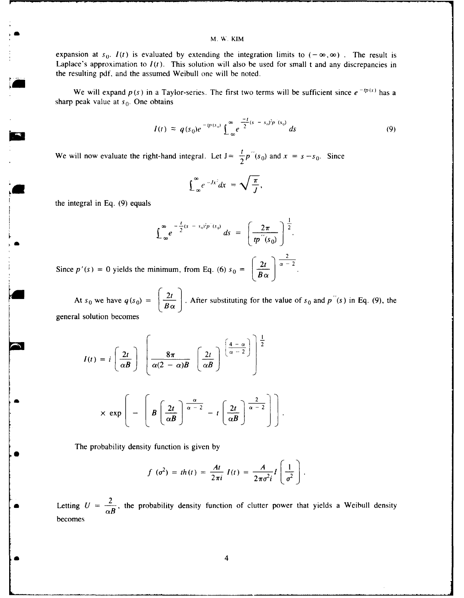expansion at  $s_0$ .  $I(t)$  is evaluated by extending the integration limits to  $(-\infty,\infty)$ . The result is Laplace's approximation to  $I(t)$ . This solution will also be used for small t and any discrepancies in the resulting pdf, and the assumed Weibull one will be noted.

We will expand  $p(s)$  in a Taylor-series. The first two terms will be sufficient since  $e^{-tp(s)}$  has a sharp peak value at  $s_0$ . One obtains

$$
I(t) \approx q(s_0)e^{-tp(s_0)}\int_{-\infty}^{\infty}e^{\frac{-t}{2}(s-s_0)^2p^2(s_0)}ds
$$
 (9)

We will now evaluate the right-hand integral. Let  $J = \frac{I}{2} p''(s_0)$  and  $x = s - s_0$ . Since

$$
\int_{-\infty}^{\infty} e^{-Jx^2} dx = \sqrt{\frac{\pi}{J}},
$$

the integral in Eq. (9) equals

$$
\int_{-\infty}^{\infty} e^{-\frac{t}{2}(s-s_0)^2 p^2(s_0)} ds = \left(\frac{2\pi}{tp^2(s_0)}\right)^{\frac{1}{2}}.
$$

 $2 \cdot 1$ Since  $p'(s) = 0$  yields the minimum, from Eq. (6)  $s_0 = \left[\frac{2t}{B\alpha}\right]$ 

At  $s_0$  we have  $q(s_0) = \left(\frac{2t}{B\alpha}\right)$ . After substituting for the value of  $s_0$  and  $p''(s)$  in Eq. (9), the general solution becomes

$$
I(t) = i \left(\frac{2t}{\alpha B}\right) \left[\frac{8\pi}{\alpha(2-\alpha)B} \left(\frac{2t}{\alpha B}\right) \left(\frac{4-\alpha}{\alpha-2}\right)\right]^{\frac{1}{2}}
$$

$$
\times \exp\left(-\left[B\left(\frac{2t}{\alpha B}\right)^{\frac{\alpha}{\alpha-2}} - t\left(\frac{2t}{\alpha B}\right)^{\frac{2}{\alpha-2}}\right]\right).
$$

The probability density function is given by

$$
f(\sigma^2) = th(t) = \frac{At}{2\pi i} I(t) = \frac{A}{2\pi \sigma^2 i} I\left(\frac{1}{\sigma^2}\right).
$$

Letting  $U = \frac{2}{\alpha B}$ , the probability density function of clutter power that yields a Weibull density becomes

**a .** 4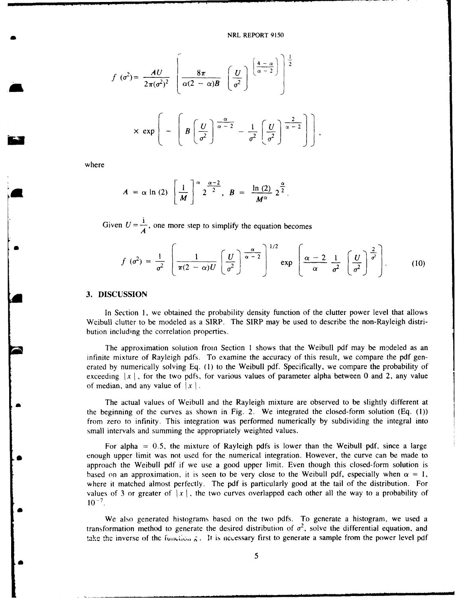$$
f(\sigma^2) = \frac{AU}{2\pi(\sigma^2)^2} \left[ \frac{8\pi}{\alpha(2-\alpha)B} \left[ \frac{U}{\sigma^2} \right]^{ \left[ \frac{4-\alpha}{\alpha-2} \right] } \right]^{\frac{1}{2}}
$$
  

$$
\times \exp \left[ - \left[ B \left[ \frac{U}{\sigma^2} \right]^{\frac{\alpha}{\alpha-2}} - \frac{1}{\sigma^2} \left[ \frac{U}{\sigma^2} \right]^{\frac{2}{\alpha-2}} \right] \right]
$$

where

$$
A = \alpha \ln (2) \left[ \frac{1}{M} \right]^{\alpha} 2^{\frac{\alpha - 2}{2}}, B = \frac{\ln (2)}{M^{\alpha}} 2^{\frac{\alpha}{2}}.
$$

Given  $U = \frac{1}{4}$ , one more step to simplify the equation becomes

$$
f(\sigma^2) = \frac{1}{\sigma^2} \left[ \frac{1}{\pi(2-\alpha)U} \left( \frac{U}{\sigma^2} \right)^{\frac{\alpha}{\alpha-2}} \right]^{1/2} \exp \left( \frac{\alpha-2}{\alpha} \frac{1}{\sigma^2} \left( \frac{U}{\sigma^2} \right)^{\frac{2}{\sigma^2}} \right).
$$
 (10)

#### **3.** DISCUSSION

In Section 1, we obtained the probability density function of the clutter power level that allows Weibull clutter to be modeled as a SIRP. The SIRP may be used to describe the non-Rayleigh distribution including the correlation properties.

The approximation solution from Section 1 shows that the Weibull pdf may be modeled as an infinite mixture of Rayleigh pdfs. To examine the accuracy of this result, we compare the pdf generated by numerically solving Eq. (1) to the Weibull pdf. Specifically, we compare the probability of exceeding  $|x|$ , for the two pdfs, for various values of parameter alpha between 0 and 2, any value of median, and any value of  $|x|$ .

The actual values of Weibull and the Rayleigh mixture are observed to be slightly different at the beginning of the curves as shown in Fig. 2. We integrated the closed-form solution (Eq.  $(1)$ ) from zero to infinity. This integration was performed numerically by subdividing the integral into small intervals and summing the appropriately weighted values.

For alpha  $= 0.5$ , the mixture of Rayleigh pdfs is lower than the Weibull pdf, since a large enough upper limit was not used for the numerical integration. However, the curve can be made to approach the Weibull pdf if we use a good upper limit. Even though this closed-form solution is based on an approximation, it is seen to be very close to the Weibull pdf, especially when  $\alpha = 1$ , where it matched almost perfectly. The pdf is particularly good at the tail of the distribution. For values of 3 or greater of  $|x|$ , the two curves overlapped each other all the way to a probability of  $10^{-7}$ 

We also generated histograms based on the two pdfs. To generate a histogram, we used a transformation method to generate the desired distribution of  $\sigma^2$ , solve the differential equation, and take the inverse of the function  $\hat{g}$ . It is necessary first to generate a sample from the power level pdf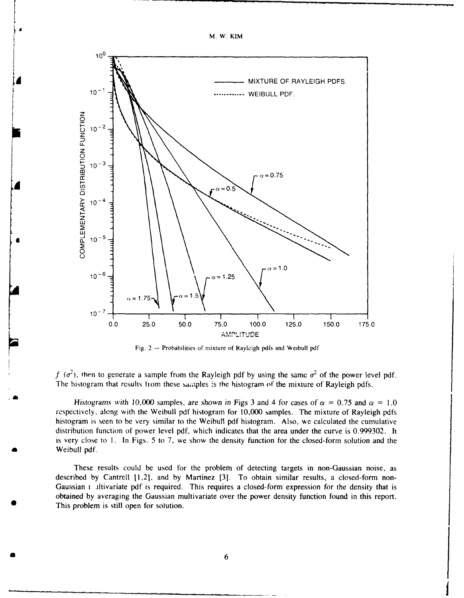

Fig.  $2 -$  Probabilities of mixture of Rayleigh pdfs and Weibull pdf

*f*  $(\sigma^2)$ , then to generate a sample from the Rayleigh pdf by using the same  $\sigma^2$  of the power level pdf. The histogram that results from these samples is the histogram of the mixture of Rayleigh pdfs.

Histograms with 10,000 samples, are shown in Figs 3 and 4 for cases of  $\alpha = 0.75$  and  $\alpha = 1.0$ respectively, along with the Weibull pdf histogram for 10,000 samples. The mixture of Rayleigh pdfs histogram is seen to be very similar to the Weibull pdf histogram. Also, we calculated the cumulative distribution function of power level pdf, which indicates that the area under the curve is 0.999302. It is very close to I. In Figs. 5 to **7,** we show the density function for the closed-form solution and the Weibull pdf.

These results could be used for the problem of detecting targets in non-Gaussian noise, as described by Cantrell [1,2], and by Martinez [3]. To obtain similar results, a closed-form non-Gaussian **i** ltivariate pdf is required. This requires a closed-form expression for the density that is obtained by averaging the Gaussian multivariate over the power density function found in this report. This problem is still open for solution.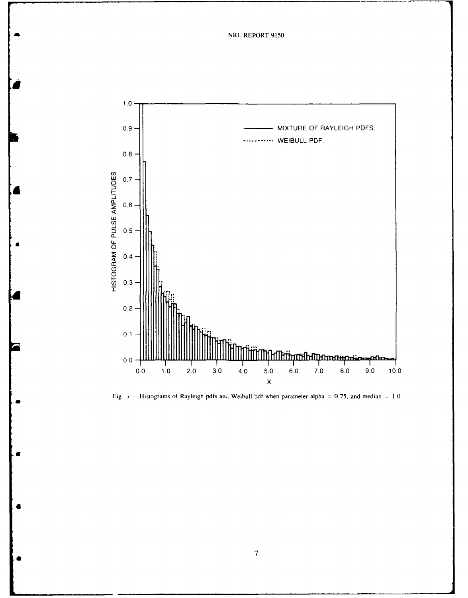NRL REPORT 9150



Fig.  $5$  – Histograms of Rayleigh pdfs and Weibull bdf when parameter alpha = 0.75, and median = 1.0

 $\boldsymbol{\tau}$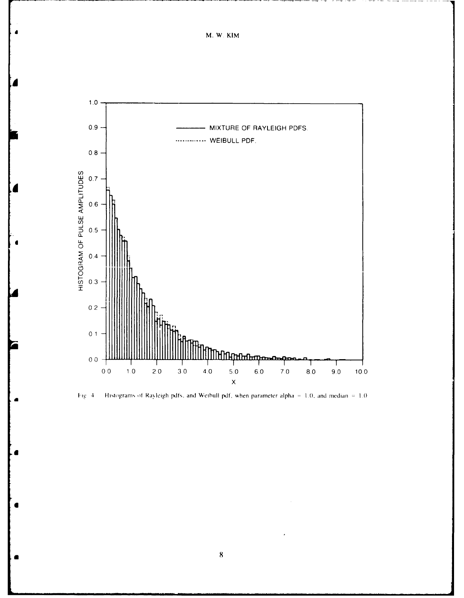M. W. KIM





 $\bf 8$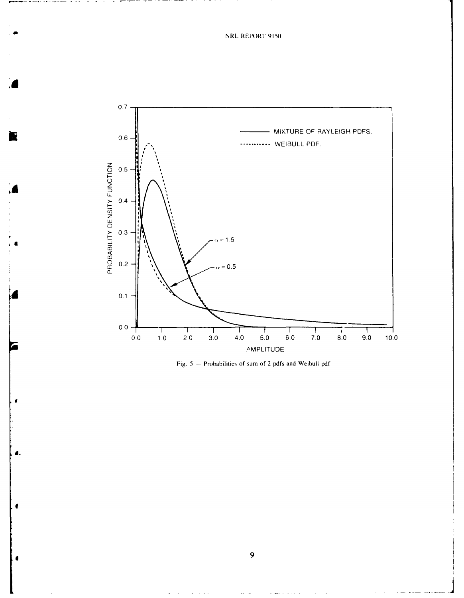

Fig. 5 - Probabilities of sum of 2 pdfs and Weibull pdf

9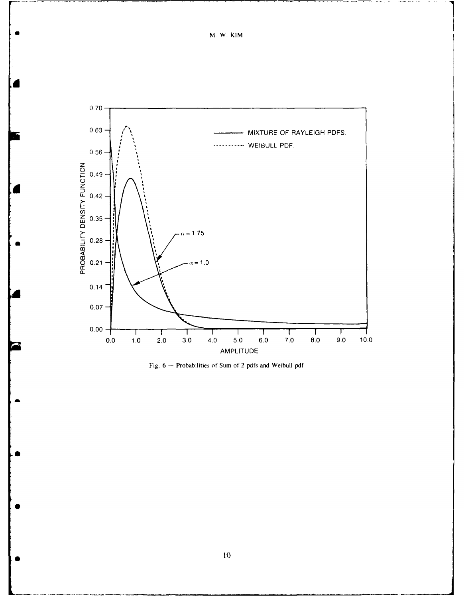M. W. KIM



Fig. 6 - Probabilities of Sum of 2 pdfs and Weibull pdf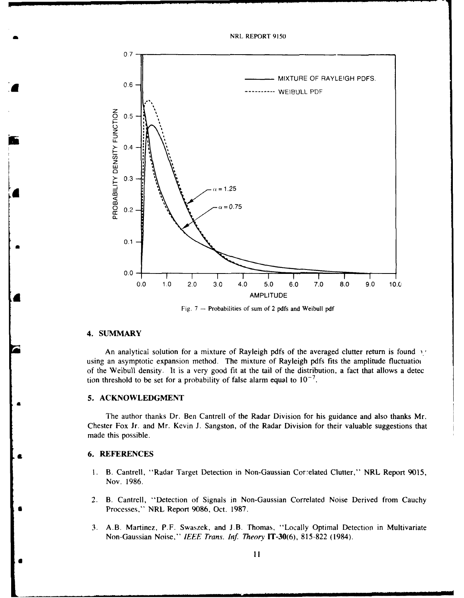

Fig. 7 **-** Probabilities of sum of 2 pdfs and Weibull pdf

#### **4. SUMMARY**

An analytical solution for a mixture of Rayleigh pdfs of the averaged clutter return is found y using an asymptotic expansion method. The mixture of Rayleigh pdfs fits the amplitude fluctuatio of the Weibull density. It is a very good fit at the tail of the distribution, a fact that allows a detec tion threshold to be set for a probability of false alarm equal to  $10^{-7}$ .

#### *5.* **ACKNOWLEDGMENT**

The author thanks Dr. Ben Cantrell of the Radar Division for his guidance and also thanks Mr. Chester Fox Jr. and Mr. Kevin **J.** Sangston, of the Radar Division for their valuable suggestions that made this possible.

#### IL **6. REFERENCES**

- 1. B. Cantrell, "Radar Target Detection in Non-Gaussian Corelated Clutter," NRL Report **9015,** Nov. **1986.**
- 2. B. Cantrell, "Detection of Signals in Non-Gaussian Correlated Noise Derived from Cauchy \* Processes," NRL Report **9086,** Oct. **1987.**
- 3. A.B. Martinez, P.F. Swaszek, and **J.B.** Thomas, "Locally Optimal Detection in Multivariate Non-Gaussian Noise," *IEEE Trans. Iif Theory* IT-30(6), 815-822 (1984).